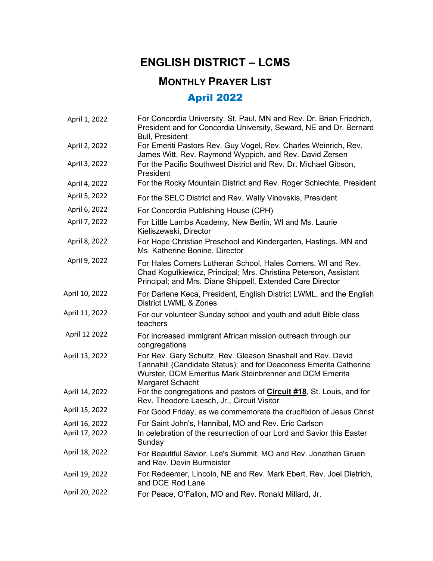## **ENGLISH DISTRICT – LCMS**

## **MONTHLY PRAYER LIST**

## April 2022

| April 1, 2022  | For Concordia University, St. Paul, MN and Rev. Dr. Brian Friedrich,<br>President and for Concordia University, Seward, NE and Dr. Bernard<br><b>Bull, President</b>                                            |
|----------------|-----------------------------------------------------------------------------------------------------------------------------------------------------------------------------------------------------------------|
| April 2, 2022  | For Emeriti Pastors Rev. Guy Vogel, Rev. Charles Weinrich, Rev.<br>James Witt, Rev. Raymond Wyppich, and Rev. David Zersen                                                                                      |
| April 3, 2022  | For the Pacific Southwest District and Rev. Dr. Michael Gibson,<br>President                                                                                                                                    |
| April 4, 2022  | For the Rocky Mountain District and Rev. Roger Schlechte, President                                                                                                                                             |
| April 5, 2022  | For the SELC District and Rev. Wally Vinovskis, President                                                                                                                                                       |
| April 6, 2022  | For Concordia Publishing House (CPH)                                                                                                                                                                            |
| April 7, 2022  | For Little Lambs Academy, New Berlin, WI and Ms. Laurie<br>Kieliszewski, Director                                                                                                                               |
| April 8, 2022  | For Hope Christian Preschool and Kindergarten, Hastings, MN and<br>Ms. Katherine Bonine, Director                                                                                                               |
| April 9, 2022  | For Hales Corners Lutheran School, Hales Corners, WI and Rev.<br>Chad Kogutkiewicz, Principal; Mrs. Christina Peterson, Assistant<br>Principal; and Mrs. Diane Shippell, Extended Care Director                 |
| April 10, 2022 | For Darlene Keca, President, English District LWML, and the English<br>District LWML & Zones                                                                                                                    |
| April 11, 2022 | For our volunteer Sunday school and youth and adult Bible class<br>teachers                                                                                                                                     |
| April 12 2022  | For increased immigrant African mission outreach through our<br>congregations                                                                                                                                   |
| April 13, 2022 | For Rev. Gary Schultz, Rev. Gleason Snashall and Rev. David<br>Tannahill (Candidate Status); and for Deaconess Emerita Catherine<br>Wurster, DCM Emeritus Mark Steinbrenner and DCM Emerita<br>Margaret Schacht |
| April 14, 2022 | For the congregations and pastors of <b>Circuit #18</b> , St. Louis, and for<br>Rev. Theodore Laesch, Jr., Circuit Visitor                                                                                      |
| April 15, 2022 | For Good Friday, as we commemorate the crucifixion of Jesus Christ                                                                                                                                              |
| April 16, 2022 | For Saint John's, Hannibal, MO and Rev. Eric Carlson                                                                                                                                                            |
| April 17, 2022 | In celebration of the resurrection of our Lord and Savior this Easter<br>Sunday                                                                                                                                 |
| April 18, 2022 | For Beautiful Savior, Lee's Summit, MO and Rev. Jonathan Gruen<br>and Rev. Devin Burmeister                                                                                                                     |
| April 19, 2022 | For Redeemer, Lincoln, NE and Rev. Mark Ebert, Rev. Joel Dietrich,<br>and DCE Rod Lane                                                                                                                          |
| April 20, 2022 | For Peace, O'Fallon, MO and Rev. Ronald Millard, Jr.                                                                                                                                                            |
|                |                                                                                                                                                                                                                 |